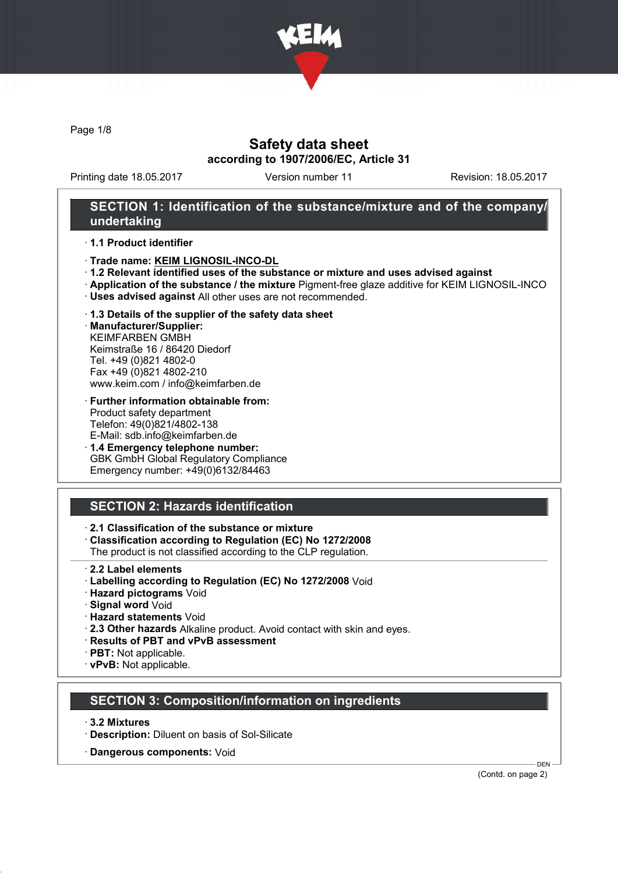

Page 1/8

### Safety data sheet according to 1907/2006/EC, Article 31

Printing date 18.05.2017 Version number 11 Revision: 18.05.2017

#### SECTION 1: Identification of the substance/mixture and of the company/ undertaking

#### · 1.1 Product identifier

- · Trade name: KEIM LIGNOSIL-INCO-DL
- · 1.2 Relevant identified uses of the substance or mixture and uses advised against
- · Application of the substance / the mixture Pigment-free glaze additive for KEIM LIGNOSIL-INCO
- · Uses advised against All other uses are not recommended.
- · 1.3 Details of the supplier of the safety data sheet

· Manufacturer/Supplier: KEIMFARBEN GMBH Keimstraße 16 / 86420 Diedorf Tel. +49 (0)821 4802-0 Fax +49 (0)821 4802-210 www.keim.com / info@keimfarben.de

- · Further information obtainable from: Product safety department Telefon: 49(0)821/4802-138 E-Mail: sdb.info@keimfarben.de
- · 1.4 Emergency telephone number: GBK GmbH Global Regulatory Compliance Emergency number: +49(0)6132/84463

## SECTION 2: Hazards identification

#### · 2.1 Classification of the substance or mixture

· Classification according to Regulation (EC) No 1272/2008

The product is not classified according to the CLP regulation.

- 2.2 Label elements
- · Labelling according to Regulation (EC) No 1272/2008 Void
- · Hazard pictograms Void
- · Signal word Void
- · Hazard statements Void
- · 2.3 Other hazards Alkaline product. Avoid contact with skin and eyes.
- · Results of PBT and vPvB assessment
- · PBT: Not applicable.
- · vPvB: Not applicable.

#### SECTION 3: Composition/information on ingredients

- · 3.2 Mixtures
- · Description: Diluent on basis of Sol-Silicate
- · Dangerous components: Void

(Contd. on page 2)

DEN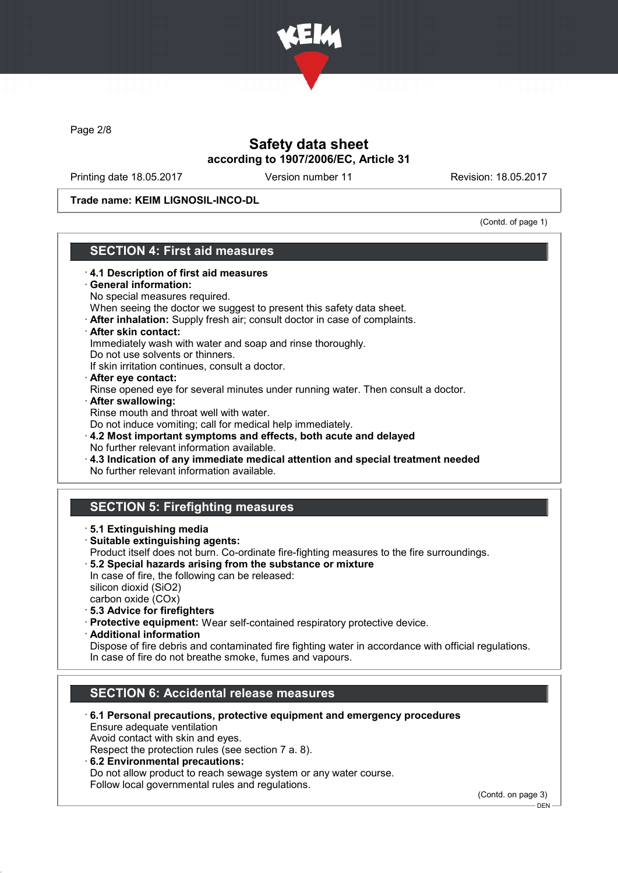

Page 2/8

## Safety data sheet according to 1907/2006/EC, Article 31

Printing date 18.05.2017 Version number 11 Revision: 18.05.2017

Trade name: KEIM LIGNOSIL-INCO-DL

(Contd. of page 1)

# SECTION 4: First aid measures

- · 4.1 Description of first aid measures General information: No special measures required. When seeing the doctor we suggest to present this safety data sheet. · After inhalation: Supply fresh air; consult doctor in case of complaints. · After skin contact: Immediately wash with water and soap and rinse thoroughly. Do not use solvents or thinners. If skin irritation continues, consult a doctor. · After eye contact: Rinse opened eye for several minutes under running water. Then consult a doctor. · After swallowing: Rinse mouth and throat well with water. Do not induce vomiting; call for medical help immediately. · 4.2 Most important symptoms and effects, both acute and delayed No further relevant information available. · 4.3 Indication of any immediate medical attention and special treatment needed No further relevant information available. SECTION 5: Firefighting measures · 5.1 Extinguishing media · Suitable extinguishing agents: Product itself does not burn. Co-ordinate fire-fighting measures to the fire surroundings. · 5.2 Special hazards arising from the substance or mixture In case of fire, the following can be released: silicon dioxid (SiO2) carbon oxide (COx) · 5.3 Advice for firefighters · Protective equipment: Wear self-contained respiratory protective device. · Additional information Dispose of fire debris and contaminated fire fighting water in accordance with official regulations. In case of fire do not breathe smoke, fumes and vapours. SECTION 6: Accidental release measures
	- · 6.1 Personal precautions, protective equipment and emergency procedures Ensure adequate ventilation

Avoid contact with skin and eyes.

Respect the protection rules (see section 7 a. 8).

· 6.2 Environmental precautions: Do not allow product to reach sewage system or any water course. Follow local governmental rules and regulations.

(Contd. on page 3)

 $-$  DEN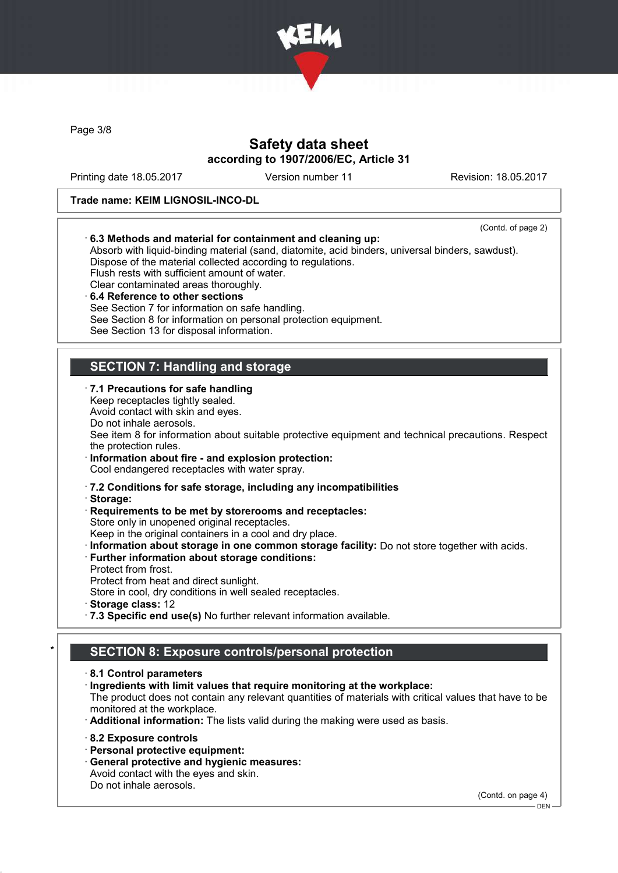

Page 3/8

# Safety data sheet according to 1907/2006/EC, Article 31

Printing date 18.05.2017 Version number 11 Revision: 18.05.2017

#### Trade name: KEIM LIGNOSIL-INCO-DL

| (Contd. of page 2)<br>6.3 Methods and material for containment and cleaning up:<br>Absorb with liquid-binding material (sand, diatomite, acid binders, universal binders, sawdust).<br>Dispose of the material collected according to regulations.<br>Flush rests with sufficient amount of water.<br>Clear contaminated areas thoroughly.<br>6.4 Reference to other sections<br>See Section 7 for information on safe handling.<br>See Section 8 for information on personal protection equipment.<br>See Section 13 for disposal information. |
|-------------------------------------------------------------------------------------------------------------------------------------------------------------------------------------------------------------------------------------------------------------------------------------------------------------------------------------------------------------------------------------------------------------------------------------------------------------------------------------------------------------------------------------------------|
| <b>SECTION 7: Handling and storage</b>                                                                                                                                                                                                                                                                                                                                                                                                                                                                                                          |
| · 7.1 Precautions for safe handling<br>Keep receptacles tightly sealed.<br>Avoid contact with skin and eyes.<br>Do not inhale aerosols.<br>See item 8 for information about suitable protective equipment and technical precautions. Respect<br>the protection rules.<br>· Information about fire - and explosion protection:<br>Cool endangered receptacles with water spray.                                                                                                                                                                  |
| 2.2 Conditions for safe storage, including any incompatibilities<br>· Storage:<br>Requirements to be met by storerooms and receptacles:<br>Store only in unopened original receptacles.<br>Keep in the original containers in a cool and dry place.<br>· Information about storage in one common storage facility: Do not store together with acids.<br>· Further information about storage conditions:<br>Protect from frost.<br>Protect from heat and direct sunlight.<br>Store in cool, dry conditions in well sealed receptacles.           |
| Storage class: 12<br>.7.3 Specific end use(s) No further relevant information available.                                                                                                                                                                                                                                                                                                                                                                                                                                                        |
| <b>SECTION 8: Exposure controls/personal protection</b>                                                                                                                                                                                                                                                                                                                                                                                                                                                                                         |
| 8.1 Control parameters<br>Ingredients with limit values that require monitoring at the workplace:<br>The product does not contain any relevant quantities of materials with critical values that have to be<br>monitored at the workplace.<br>· Additional information: The lists valid during the making were used as basis.                                                                                                                                                                                                                   |
| 8.2 Exposure controls<br>· Personal protective equipment:<br>· General protective and hygienic measures:<br>Avoid contact with the eyes and skin.<br>Do not inhale aerosols.                                                                                                                                                                                                                                                                                                                                                                    |

(Contd. on page 4)

 $-$  DEN -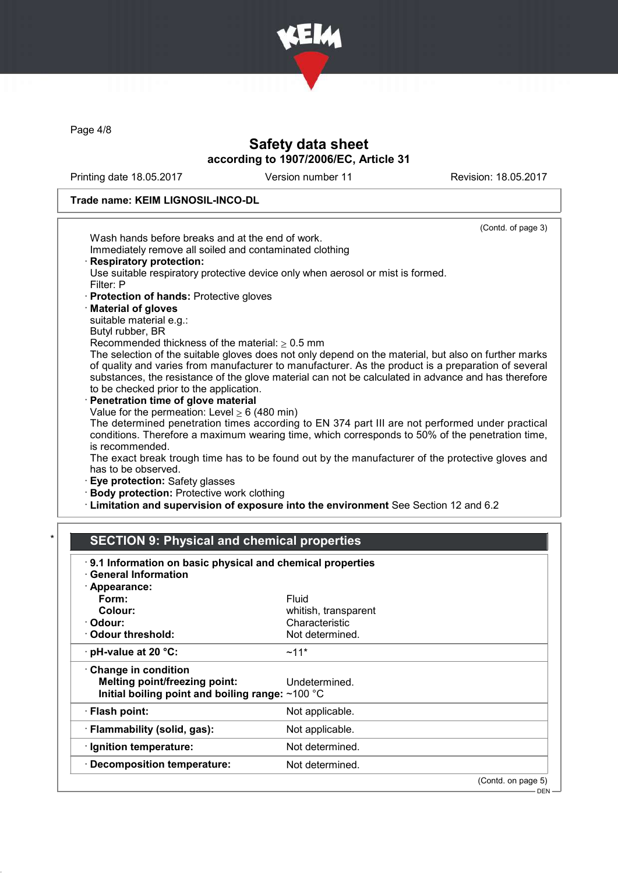

Page 4/8

## Safety data sheet according to 1907/2006/EC, Article 31

Printing date 18.05.2017 Version number 11 Revision: 18.05.2017

#### Trade name: KEIM LIGNOSIL-INCO-DL

| (Contd. of page 3)<br>Wash hands before breaks and at the end of work.<br>Immediately remove all soiled and contaminated clothing<br><b>Respiratory protection:</b><br>Use suitable respiratory protective device only when aerosol or mist is formed.<br>Filter: P<br>· Protection of hands: Protective gloves<br>· Material of gloves<br>suitable material e.g.:<br>Butyl rubber, BR<br>Recommended thickness of the material: $\geq 0.5$ mm<br>The selection of the suitable gloves does not only depend on the material, but also on further marks<br>of quality and varies from manufacturer to manufacturer. As the product is a preparation of several<br>substances, the resistance of the glove material can not be calculated in advance and has therefore<br>to be checked prior to the application.<br>Penetration time of glove material<br>Value for the permeation: Level $\geq 6$ (480 min)<br>The determined penetration times according to EN 374 part III are not performed under practical<br>conditions. Therefore a maximum wearing time, which corresponds to 50% of the penetration time,<br>is recommended.<br>The exact break trough time has to be found out by the manufacturer of the protective gloves and<br>has to be observed.<br>Eye protection: Safety glasses<br>· Body protection: Protective work clothing |          |                |  |  |  |
|--------------------------------------------------------------------------------------------------------------------------------------------------------------------------------------------------------------------------------------------------------------------------------------------------------------------------------------------------------------------------------------------------------------------------------------------------------------------------------------------------------------------------------------------------------------------------------------------------------------------------------------------------------------------------------------------------------------------------------------------------------------------------------------------------------------------------------------------------------------------------------------------------------------------------------------------------------------------------------------------------------------------------------------------------------------------------------------------------------------------------------------------------------------------------------------------------------------------------------------------------------------------------------------------------------------------------------------------------|----------|----------------|--|--|--|
|                                                                                                                                                                                                                                                                                                                                                                                                                                                                                                                                                                                                                                                                                                                                                                                                                                                                                                                                                                                                                                                                                                                                                                                                                                                                                                                                                  |          |                |  |  |  |
|                                                                                                                                                                                                                                                                                                                                                                                                                                                                                                                                                                                                                                                                                                                                                                                                                                                                                                                                                                                                                                                                                                                                                                                                                                                                                                                                                  |          |                |  |  |  |
|                                                                                                                                                                                                                                                                                                                                                                                                                                                                                                                                                                                                                                                                                                                                                                                                                                                                                                                                                                                                                                                                                                                                                                                                                                                                                                                                                  |          |                |  |  |  |
|                                                                                                                                                                                                                                                                                                                                                                                                                                                                                                                                                                                                                                                                                                                                                                                                                                                                                                                                                                                                                                                                                                                                                                                                                                                                                                                                                  |          |                |  |  |  |
|                                                                                                                                                                                                                                                                                                                                                                                                                                                                                                                                                                                                                                                                                                                                                                                                                                                                                                                                                                                                                                                                                                                                                                                                                                                                                                                                                  |          |                |  |  |  |
|                                                                                                                                                                                                                                                                                                                                                                                                                                                                                                                                                                                                                                                                                                                                                                                                                                                                                                                                                                                                                                                                                                                                                                                                                                                                                                                                                  |          |                |  |  |  |
|                                                                                                                                                                                                                                                                                                                                                                                                                                                                                                                                                                                                                                                                                                                                                                                                                                                                                                                                                                                                                                                                                                                                                                                                                                                                                                                                                  |          |                |  |  |  |
|                                                                                                                                                                                                                                                                                                                                                                                                                                                                                                                                                                                                                                                                                                                                                                                                                                                                                                                                                                                                                                                                                                                                                                                                                                                                                                                                                  |          |                |  |  |  |
|                                                                                                                                                                                                                                                                                                                                                                                                                                                                                                                                                                                                                                                                                                                                                                                                                                                                                                                                                                                                                                                                                                                                                                                                                                                                                                                                                  |          |                |  |  |  |
|                                                                                                                                                                                                                                                                                                                                                                                                                                                                                                                                                                                                                                                                                                                                                                                                                                                                                                                                                                                                                                                                                                                                                                                                                                                                                                                                                  |          |                |  |  |  |
|                                                                                                                                                                                                                                                                                                                                                                                                                                                                                                                                                                                                                                                                                                                                                                                                                                                                                                                                                                                                                                                                                                                                                                                                                                                                                                                                                  |          |                |  |  |  |
| · Limitation and supervision of exposure into the environment See Section 12 and 6.2                                                                                                                                                                                                                                                                                                                                                                                                                                                                                                                                                                                                                                                                                                                                                                                                                                                                                                                                                                                                                                                                                                                                                                                                                                                             |          |                |  |  |  |
|                                                                                                                                                                                                                                                                                                                                                                                                                                                                                                                                                                                                                                                                                                                                                                                                                                                                                                                                                                                                                                                                                                                                                                                                                                                                                                                                                  |          |                |  |  |  |
|                                                                                                                                                                                                                                                                                                                                                                                                                                                                                                                                                                                                                                                                                                                                                                                                                                                                                                                                                                                                                                                                                                                                                                                                                                                                                                                                                  |          |                |  |  |  |
|                                                                                                                                                                                                                                                                                                                                                                                                                                                                                                                                                                                                                                                                                                                                                                                                                                                                                                                                                                                                                                                                                                                                                                                                                                                                                                                                                  |          |                |  |  |  |
| <b>SECTION 9: Physical and chemical properties</b>                                                                                                                                                                                                                                                                                                                                                                                                                                                                                                                                                                                                                                                                                                                                                                                                                                                                                                                                                                                                                                                                                                                                                                                                                                                                                               |          |                |  |  |  |
|                                                                                                                                                                                                                                                                                                                                                                                                                                                                                                                                                                                                                                                                                                                                                                                                                                                                                                                                                                                                                                                                                                                                                                                                                                                                                                                                                  |          |                |  |  |  |
| 9.1 Information on basic physical and chemical properties                                                                                                                                                                                                                                                                                                                                                                                                                                                                                                                                                                                                                                                                                                                                                                                                                                                                                                                                                                                                                                                                                                                                                                                                                                                                                        |          |                |  |  |  |
| <b>General Information</b>                                                                                                                                                                                                                                                                                                                                                                                                                                                                                                                                                                                                                                                                                                                                                                                                                                                                                                                                                                                                                                                                                                                                                                                                                                                                                                                       |          |                |  |  |  |
| · Appearance:                                                                                                                                                                                                                                                                                                                                                                                                                                                                                                                                                                                                                                                                                                                                                                                                                                                                                                                                                                                                                                                                                                                                                                                                                                                                                                                                    |          |                |  |  |  |
| Form:<br>Fluid                                                                                                                                                                                                                                                                                                                                                                                                                                                                                                                                                                                                                                                                                                                                                                                                                                                                                                                                                                                                                                                                                                                                                                                                                                                                                                                                   |          |                |  |  |  |
| Colour:<br>whitish, transparent                                                                                                                                                                                                                                                                                                                                                                                                                                                                                                                                                                                                                                                                                                                                                                                                                                                                                                                                                                                                                                                                                                                                                                                                                                                                                                                  | · Odour: | Characteristic |  |  |  |

· Odour threshold: Not determined.  $\cdot$  pH-value at 20 °C:  $\sim$ 11\* · Change in condition Melting point/freezing point: Undetermined. Initial boiling point and boiling range:  $\sim$ 100  $^\circ\mathrm{C}$ · Flash point: Not applicable. · Flammability (solid, gas): Not applicable. · Ignition temperature: Not determined. · Decomposition temperature: Not determined.

(Contd. on page 5)

DEN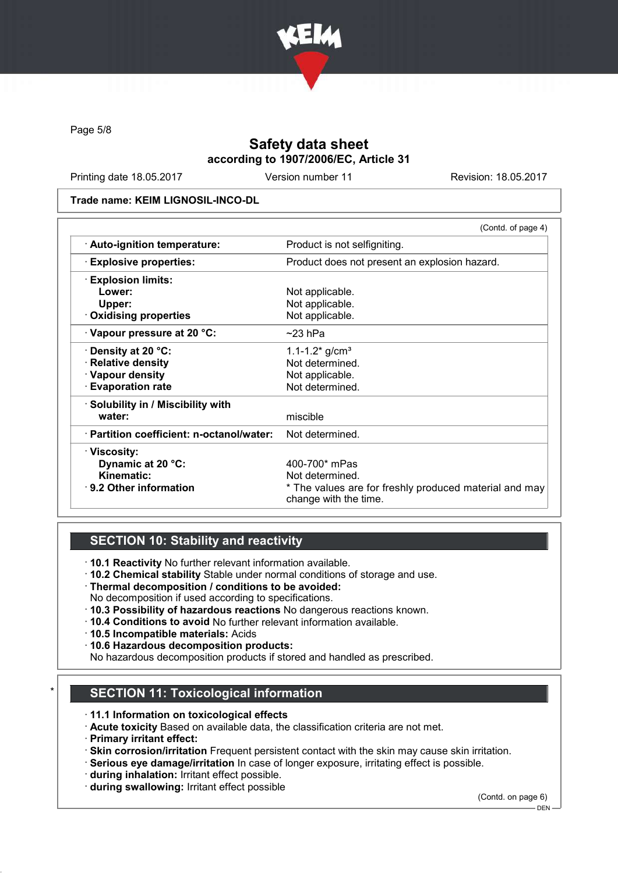

Page 5/8

# Safety data sheet according to 1907/2006/EC, Article 31

Printing date 18.05.2017 Version number 11 Revision: 18.05.2017

Trade name: KEIM LIGNOSIL-INCO-DL

|                                           | (Contd. of page 4)                                                              |
|-------------------------------------------|---------------------------------------------------------------------------------|
| · Auto-ignition temperature:              | Product is not selfigniting.                                                    |
| <b>Explosive properties:</b>              | Product does not present an explosion hazard.                                   |
| <b>Explosion limits:</b>                  |                                                                                 |
| Lower:                                    | Not applicable.                                                                 |
| Upper:                                    | Not applicable.                                                                 |
| $\cdot$ Oxidising properties              | Not applicable.                                                                 |
| Vapour pressure at 20 °C:                 | $~23$ hPa                                                                       |
| $\cdot$ Density at 20 °C:                 | 1.1-1.2 $\frac{\text{m}}{\text{s}}$ g/cm <sup>3</sup>                           |
| · Relative density                        | Not determined.                                                                 |
| · Vapour density                          | Not applicable.                                                                 |
| <b>Evaporation rate</b>                   | Not determined.                                                                 |
| · Solubility in / Miscibility with        |                                                                                 |
| water:                                    | miscible                                                                        |
| · Partition coefficient: n-octanol/water: | Not determined.                                                                 |
| · Viscosity:                              |                                                                                 |
| Dynamic at 20 °C:                         | 400-700* mPas                                                                   |
| Kinematic:                                | Not determined.                                                                 |
| $\cdot$ 9.2 Other information             | * The values are for freshly produced material and may<br>change with the time. |

### SECTION 10: Stability and reactivity

· 10.1 Reactivity No further relevant information available.

- · 10.2 Chemical stability Stable under normal conditions of storage and use.
- · Thermal decomposition / conditions to be avoided:
- No decomposition if used according to specifications.
- · 10.3 Possibility of hazardous reactions No dangerous reactions known.
- · 10.4 Conditions to avoid No further relevant information available.
- · 10.5 Incompatible materials: Acids
- · 10.6 Hazardous decomposition products:
- No hazardous decomposition products if stored and handled as prescribed.

# **SECTION 11: Toxicological information**

- · 11.1 Information on toxicological effects
- · Acute toxicity Based on available data, the classification criteria are not met.
- · Primary irritant effect:
- · Skin corrosion/irritation Frequent persistent contact with the skin may cause skin irritation.
- · Serious eye damage/irritation In case of longer exposure, irritating effect is possible.
- · during inhalation: Irritant effect possible.
- · during swallowing: Irritant effect possible

(Contd. on page 6)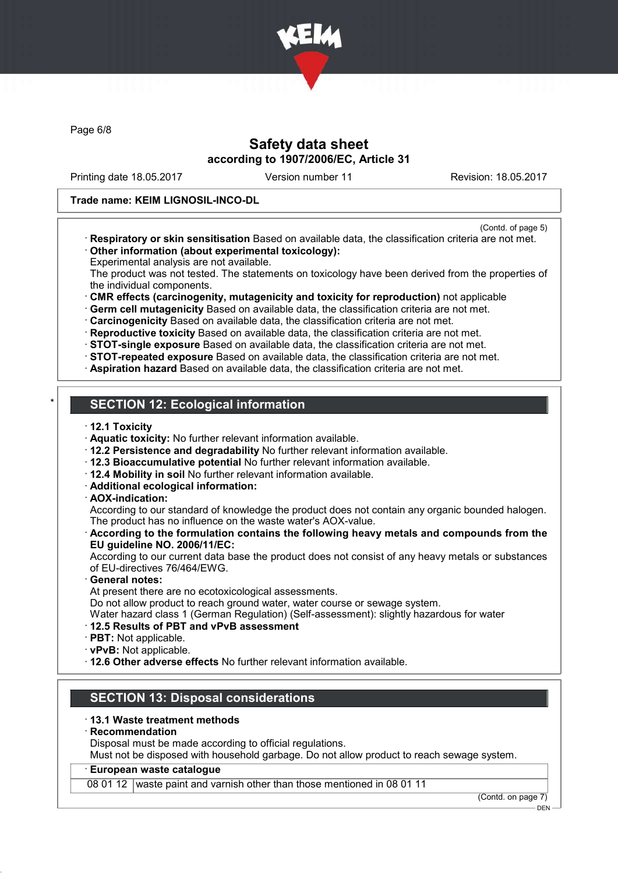

Page 6/8

### Safety data sheet according to 1907/2006/EC, Article 31

Printing date 18.05.2017 Version number 11 Revision: 18.05.2017

#### Trade name: KEIM LIGNOSIL-INCO-DL

- (Contd. of page 5)
- · Respiratory or skin sensitisation Based on available data, the classification criteria are not met. · Other information (about experimental toxicology):
- Experimental analysis are not available.

The product was not tested. The statements on toxicology have been derived from the properties of the individual components.

· CMR effects (carcinogenity, mutagenicity and toxicity for reproduction) not applicable

· Germ cell mutagenicity Based on available data, the classification criteria are not met.

· Carcinogenicity Based on available data, the classification criteria are not met.

· Reproductive toxicity Based on available data, the classification criteria are not met.

· STOT-single exposure Based on available data, the classification criteria are not met.

- · STOT-repeated exposure Based on available data, the classification criteria are not met.
- · Aspiration hazard Based on available data, the classification criteria are not met.

# **SECTION 12: Ecological information**

- · 12.1 Toxicity
- · Aquatic toxicity: No further relevant information available.
- · 12.2 Persistence and degradability No further relevant information available.
- · 12.3 Bioaccumulative potential No further relevant information available.
- · 12.4 Mobility in soil No further relevant information available.
- · Additional ecological information:
- · AOX-indication:

According to our standard of knowledge the product does not contain any organic bounded halogen. The product has no influence on the waste water's AOX-value.

· According to the formulation contains the following heavy metals and compounds from the EU guideline NO. 2006/11/EC:

According to our current data base the product does not consist of any heavy metals or substances of EU-directives 76/464/EWG.

General notes:

At present there are no ecotoxicological assessments.

Do not allow product to reach ground water, water course or sewage system.

- Water hazard class 1 (German Regulation) (Self-assessment): slightly hazardous for water
- · 12.5 Results of PBT and vPvB assessment
- · PBT: Not applicable.
- · vPvB: Not applicable.
- · 12.6 Other adverse effects No further relevant information available.

## SECTION 13: Disposal considerations

- · 13.1 Waste treatment methods
- **Recommendation**

Disposal must be made according to official regulations.

Must not be disposed with household garbage. Do not allow product to reach sewage system.

#### · European waste catalogue

08 01 12 waste paint and varnish other than those mentioned in 08 01 11

(Contd. on page 7)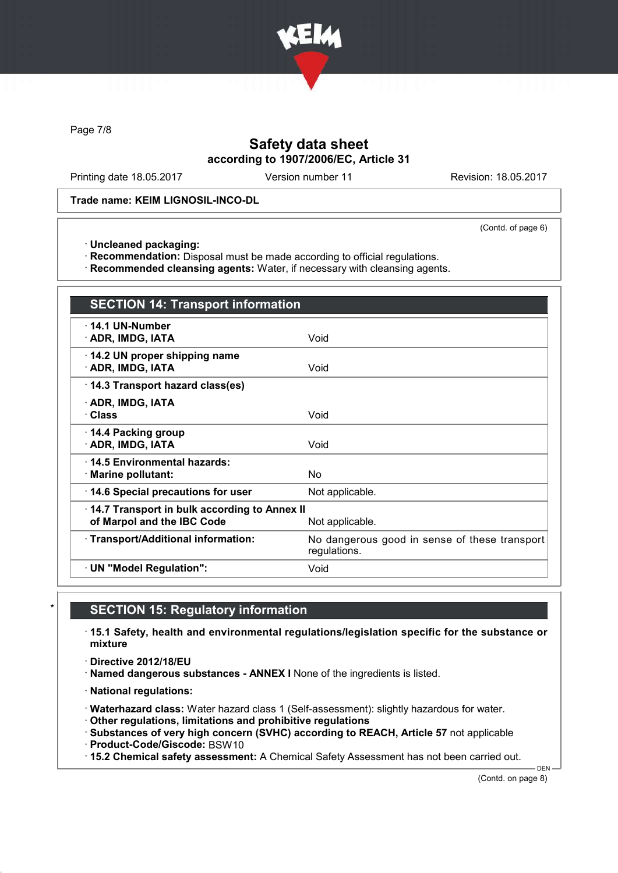

Page 7/8

## Safety data sheet according to 1907/2006/EC, Article 31

Printing date 18.05.2017 Version number 11 Revision: 18.05.2017

Trade name: KEIM LIGNOSIL-INCO-DL

(Contd. of page 6)

· Uncleaned packaging:

· Recommendation: Disposal must be made according to official regulations.

· Recommended cleansing agents: Water, if necessary with cleansing agents.

| <b>SECTION 14: Transport information</b>                                   |                                                               |  |  |  |
|----------------------------------------------------------------------------|---------------------------------------------------------------|--|--|--|
| $\cdot$ 14.1 UN-Number<br>· ADR, IMDG, IATA                                | Void                                                          |  |  |  |
| 14.2 UN proper shipping name<br>· ADR, IMDG, IATA                          | Void                                                          |  |  |  |
| 14.3 Transport hazard class(es)                                            |                                                               |  |  |  |
| · ADR, IMDG, IATA<br>· Class                                               | Void                                                          |  |  |  |
| ⋅ 14.4 Packing group<br>· ADR, IMDG, IATA                                  | Void                                                          |  |  |  |
| ⋅14.5 Environmental hazards:<br>· Marine pollutant:                        | No                                                            |  |  |  |
| 14.6 Special precautions for user                                          | Not applicable.                                               |  |  |  |
| 14.7 Transport in bulk according to Annex II<br>of Marpol and the IBC Code | Not applicable.                                               |  |  |  |
| · Transport/Additional information:                                        | No dangerous good in sense of these transport<br>regulations. |  |  |  |
| · UN "Model Regulation":                                                   | Void                                                          |  |  |  |

### **SECTION 15: Regulatory information**

· 15.1 Safety, health and environmental regulations/legislation specific for the substance or mixture

· Directive 2012/18/EU

· Named dangerous substances - ANNEX I None of the ingredients is listed.

· National regulations:

· Waterhazard class: Water hazard class 1 (Self-assessment): slightly hazardous for water.

· Other regulations, limitations and prohibitive regulations

· Substances of very high concern (SVHC) according to REACH, Article 57 not applicable

· Product-Code/Giscode: BSW10

· 15.2 Chemical safety assessment: A Chemical Safety Assessment has not been carried out.

(Contd. on page 8)

DEN